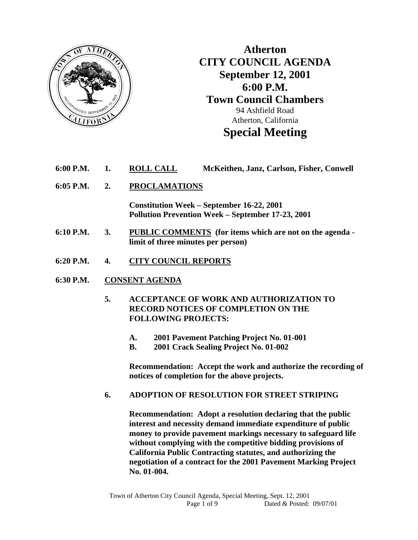

**Atherton CITY COUNCIL AGENDA September 12, 2001 6:00 P.M. Town Council Chambers**  94 Ashfield Road Atherton, California **Special Meeting** 

- **6:00 P.M. 1. ROLL CALL McKeithen, Janz, Carlson, Fisher, Conwell**
- **6:05 P.M. 2. PROCLAMATIONS**

 **Constitution Week – September 16-22, 2001 Pollution Prevention Week – September 17-23, 2001** 

- **6:10 P.M. 3. PUBLIC COMMENTS (for items which are not on the agenda limit of three minutes per person)**
- **6:20 P.M. 4. CITY COUNCIL REPORTS**
- **6:30 P.M. CONSENT AGENDA**
	- **5. ACCEPTANCE OF WORK AND AUTHORIZATION TO RECORD NOTICES OF COMPLETION ON THE FOLLOWING PROJECTS:** 
		- **A. 2001 Pavement Patching Project No. 01-001**
		- **B. 2001 Crack Sealing Project No. 01-002**

 **Recommendation: Accept the work and authorize the recording of notices of completion for the above projects.** 

### **6. ADOPTION OF RESOLUTION FOR STREET STRIPING**

 **Recommendation: Adopt a resolution declaring that the public interest and necessity demand immediate expenditure of public money to provide pavement markings necessary to safeguard life without complying with the competitive bidding provisions of California Public Contracting statutes, and authorizing the negotiation of a contract for the 2001 Pavement Marking Project No. 01-004.**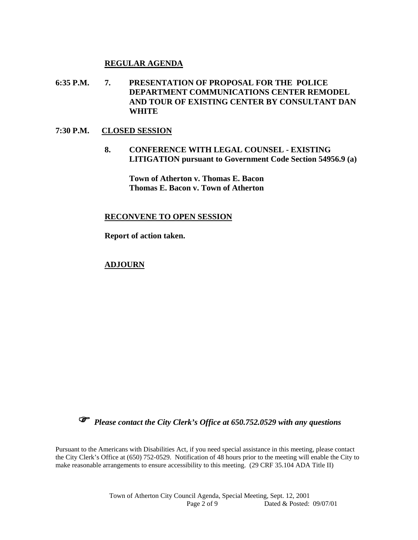#### **REGULAR AGENDA**

**6:35 P.M. 7. PRESENTATION OF PROPOSAL FOR THE POLICE DEPARTMENT COMMUNICATIONS CENTER REMODEL AND TOUR OF EXISTING CENTER BY CONSULTANT DAN WHITE** 

#### **7:30 P.M. CLOSED SESSION**

**8. CONFERENCE WITH LEGAL COUNSEL - EXISTING LITIGATION pursuant to Government Code Section 54956.9 (a)** 

**Town of Atherton v. Thomas E. Bacon Thomas E. Bacon v. Town of Atherton** 

#### **RECONVENE TO OPEN SESSION**

 **Report of action taken.** 

#### **ADJOURN**



*Please contact the City Clerk's Office at 650.752.0529 with any questions* 

Pursuant to the Americans with Disabilities Act, if you need special assistance in this meeting, please contact the City Clerk's Office at (650) 752-0529. Notification of 48 hours prior to the meeting will enable the City to make reasonable arrangements to ensure accessibility to this meeting. (29 CRF 35.104 ADA Title II)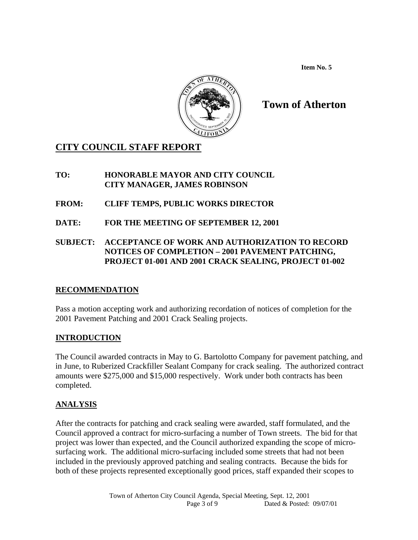**Item No. 5** 



# **Town of Atherton**

# **CITY COUNCIL STAFF REPORT**

### **TO: HONORABLE MAYOR AND CITY COUNCIL CITY MANAGER, JAMES ROBINSON**

- **FROM: CLIFF TEMPS, PUBLIC WORKS DIRECTOR**
- **DATE: FOR THE MEETING OF SEPTEMBER 12, 2001**
- **SUBJECT: ACCEPTANCE OF WORK AND AUTHORIZATION TO RECORD NOTICES OF COMPLETION – 2001 PAVEMENT PATCHING, PROJECT 01-001 AND 2001 CRACK SEALING, PROJECT 01-002**

# **RECOMMENDATION**

Pass a motion accepting work and authorizing recordation of notices of completion for the 2001 Pavement Patching and 2001 Crack Sealing projects.

# **INTRODUCTION**

The Council awarded contracts in May to G. Bartolotto Company for pavement patching, and in June, to Ruberized Crackfiller Sealant Company for crack sealing. The authorized contract amounts were \$275,000 and \$15,000 respectively. Work under both contracts has been completed.

# **ANALYSIS**

After the contracts for patching and crack sealing were awarded, staff formulated, and the Council approved a contract for micro-surfacing a number of Town streets. The bid for that project was lower than expected, and the Council authorized expanding the scope of microsurfacing work. The additional micro-surfacing included some streets that had not been included in the previously approved patching and sealing contracts. Because the bids for both of these projects represented exceptionally good prices, staff expanded their scopes to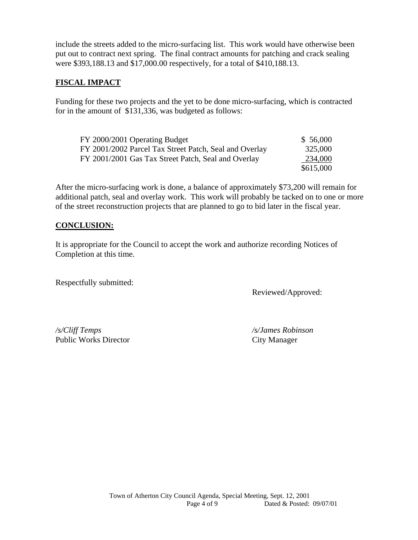include the streets added to the micro-surfacing list. This work would have otherwise been put out to contract next spring. The final contract amounts for patching and crack sealing were \$393,188.13 and \$17,000.00 respectively, for a total of \$410,188.13.

#### **FISCAL IMPACT**

Funding for these two projects and the yet to be done micro-surfacing, which is contracted for in the amount of \$131,336, was budgeted as follows:

| FY 2000/2001 Operating Budget                          | \$56,000  |
|--------------------------------------------------------|-----------|
| FY 2001/2002 Parcel Tax Street Patch, Seal and Overlay | 325,000   |
| FY 2001/2001 Gas Tax Street Patch, Seal and Overlay    | 234,000   |
|                                                        | \$615,000 |

After the micro-surfacing work is done, a balance of approximately \$73,200 will remain for additional patch, seal and overlay work. This work will probably be tacked on to one or more of the street reconstruction projects that are planned to go to bid later in the fiscal year.

#### **CONCLUSION:**

It is appropriate for the Council to accept the work and authorize recording Notices of Completion at this time.

Respectfully submitted:

Reviewed/Approved:

*/s/Cliff Temps /s/James Robinson*  Public Works Director City Manager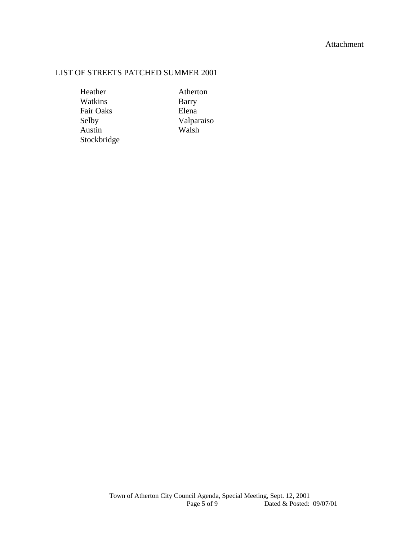#### Attachment

### LIST OF STREETS PATCHED SUMMER 2001

Heather Atherton Watkins Barry Fair Oaks Elena Stockbridge

Selby Valparaiso<br>Austin Walsh Walsh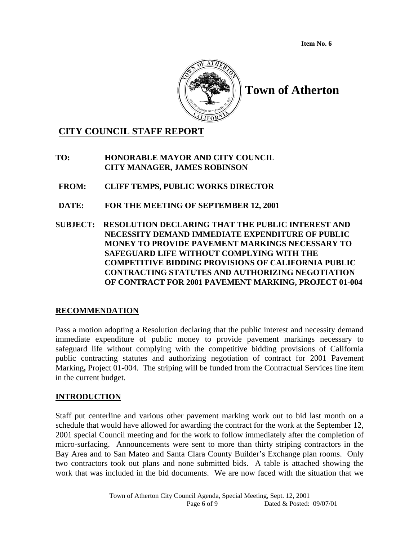**Item No. 6** 



# **CITY COUNCIL STAFF REPORT**

**TO: HONORABLE MAYOR AND CITY COUNCIL CITY MANAGER, JAMES ROBINSON** 

**FROM: CLIFF TEMPS, PUBLIC WORKS DIRECTOR** 

- **DATE: FOR THE MEETING OF SEPTEMBER 12, 2001**
- **SUBJECT: RESOLUTION DECLARING THAT THE PUBLIC INTEREST AND NECESSITY DEMAND IMMEDIATE EXPENDITURE OF PUBLIC MONEY TO PROVIDE PAVEMENT MARKINGS NECESSARY TO SAFEGUARD LIFE WITHOUT COMPLYING WITH THE COMPETITIVE BIDDING PROVISIONS OF CALIFORNIA PUBLIC CONTRACTING STATUTES AND AUTHORIZING NEGOTIATION OF CONTRACT FOR 2001 PAVEMENT MARKING, PROJECT 01-004**

### **RECOMMENDATION**

Pass a motion adopting a Resolution declaring that the public interest and necessity demand immediate expenditure of public money to provide pavement markings necessary to safeguard life without complying with the competitive bidding provisions of California public contracting statutes and authorizing negotiation of contract for 2001 Pavement Marking**,** Project 01-004. The striping will be funded from the Contractual Services line item in the current budget.

### **INTRODUCTION**

Staff put centerline and various other pavement marking work out to bid last month on a schedule that would have allowed for awarding the contract for the work at the September 12, 2001 special Council meeting and for the work to follow immediately after the completion of micro-surfacing. Announcements were sent to more than thirty striping contractors in the Bay Area and to San Mateo and Santa Clara County Builder's Exchange plan rooms. Only two contractors took out plans and none submitted bids. A table is attached showing the work that was included in the bid documents. We are now faced with the situation that we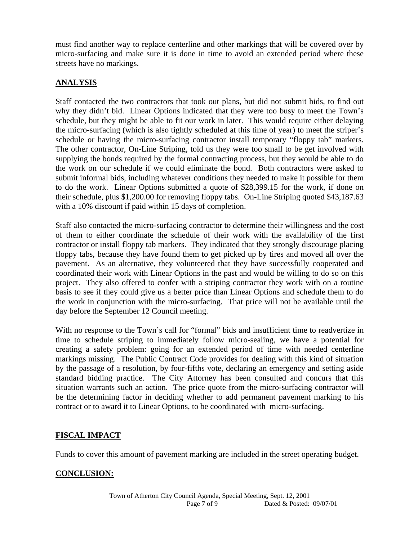must find another way to replace centerline and other markings that will be covered over by micro-surfacing and make sure it is done in time to avoid an extended period where these streets have no markings.

### **ANALYSIS**

Staff contacted the two contractors that took out plans, but did not submit bids, to find out why they didn't bid. Linear Options indicated that they were too busy to meet the Town's schedule, but they might be able to fit our work in later. This would require either delaying the micro-surfacing (which is also tightly scheduled at this time of year) to meet the striper's schedule or having the micro-surfacing contractor install temporary "floppy tab" markers. The other contractor, On-Line Striping, told us they were too small to be get involved with supplying the bonds required by the formal contracting process, but they would be able to do the work on our schedule if we could eliminate the bond. Both contractors were asked to submit informal bids, including whatever conditions they needed to make it possible for them to do the work. Linear Options submitted a quote of \$28,399.15 for the work, if done on their schedule, plus \$1,200.00 for removing floppy tabs. On-Line Striping quoted \$43,187.63 with a 10% discount if paid within 15 days of completion.

Staff also contacted the micro-surfacing contractor to determine their willingness and the cost of them to either coordinate the schedule of their work with the availability of the first contractor or install floppy tab markers. They indicated that they strongly discourage placing floppy tabs, because they have found them to get picked up by tires and moved all over the pavement. As an alternative, they volunteered that they have successfully cooperated and coordinated their work with Linear Options in the past and would be willing to do so on this project. They also offered to confer with a striping contractor they work with on a routine basis to see if they could give us a better price than Linear Options and schedule them to do the work in conjunction with the micro-surfacing. That price will not be available until the day before the September 12 Council meeting.

With no response to the Town's call for "formal" bids and insufficient time to readvertize in time to schedule striping to immediately follow micro-sealing, we have a potential for creating a safety problem: going for an extended period of time with needed centerline markings missing. The Public Contract Code provides for dealing with this kind of situation by the passage of a resolution, by four-fifths vote, declaring an emergency and setting aside standard bidding practice. The City Attorney has been consulted and concurs that this situation warrants such an action. The price quote from the micro-surfacing contractor will be the determining factor in deciding whether to add permanent pavement marking to his contract or to award it to Linear Options, to be coordinated with micro-surfacing.

### **FISCAL IMPACT**

Funds to cover this amount of pavement marking are included in the street operating budget.

# **CONCLUSION:**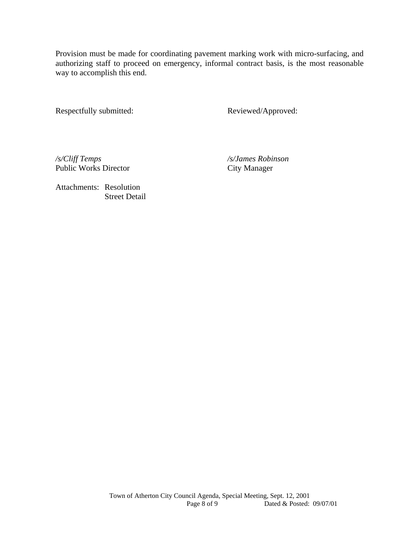Provision must be made for coordinating pavement marking work with micro-surfacing, and authorizing staff to proceed on emergency, informal contract basis, is the most reasonable way to accomplish this end.

Respectfully submitted: Reviewed/Approved:

*/s/Cliff Temps /s/James Robinson*  Public Works Director City Manager

Attachments: Resolution Street Detail